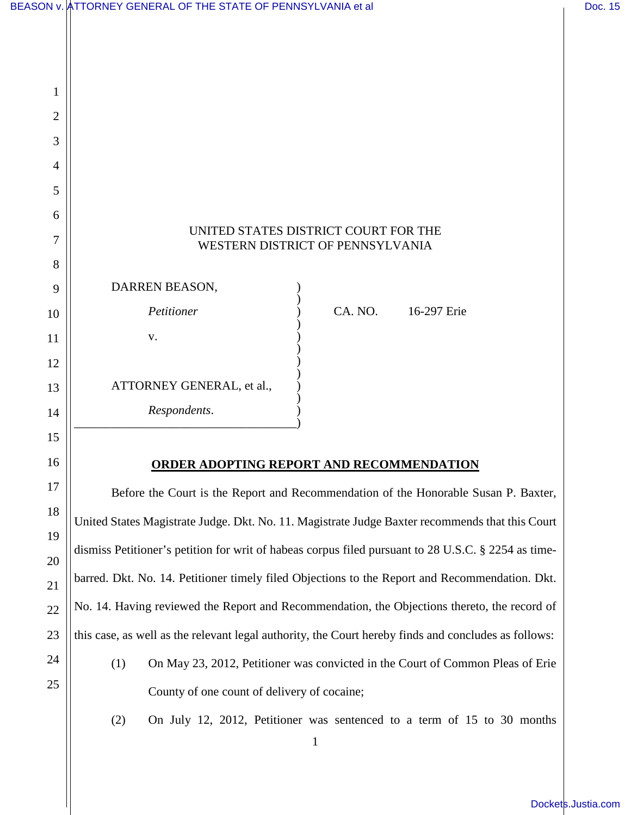|                | BEASON v. ÅTTORNEY GENERAL OF THE STATE OF PENNSYLVANIA et al                                        |         |                                                                                | Doc. 15 |
|----------------|------------------------------------------------------------------------------------------------------|---------|--------------------------------------------------------------------------------|---------|
|                |                                                                                                      |         |                                                                                |         |
|                |                                                                                                      |         |                                                                                |         |
| 1              |                                                                                                      |         |                                                                                |         |
| $\overline{2}$ |                                                                                                      |         |                                                                                |         |
| 3              |                                                                                                      |         |                                                                                |         |
| 4              |                                                                                                      |         |                                                                                |         |
| 5              |                                                                                                      |         |                                                                                |         |
| 6              |                                                                                                      |         |                                                                                |         |
| 7              | UNITED STATES DISTRICT COURT FOR THE<br>WESTERN DISTRICT OF PENNSYLVANIA                             |         |                                                                                |         |
| 8              |                                                                                                      |         |                                                                                |         |
| 9              | DARREN BEASON,                                                                                       |         |                                                                                |         |
| 10             | Petitioner                                                                                           | CA. NO. | 16-297 Erie                                                                    |         |
| 11             | V.                                                                                                   |         |                                                                                |         |
| 12             |                                                                                                      |         |                                                                                |         |
| 13             | ATTORNEY GENERAL, et al.,                                                                            |         |                                                                                |         |
| 14             | Respondents.                                                                                         |         |                                                                                |         |
| 15             |                                                                                                      |         |                                                                                |         |
| 16             | <b>ORDER ADOPTING REPORT AND RECOMMENDATION</b>                                                      |         |                                                                                |         |
| 17             | Before the Court is the Report and Recommendation of the Honorable Susan P. Baxter,                  |         |                                                                                |         |
| 18             | United States Magistrate Judge. Dkt. No. 11. Magistrate Judge Baxter recommends that this Court      |         |                                                                                |         |
| 19<br>20       | dismiss Petitioner's petition for writ of habeas corpus filed pursuant to 28 U.S.C. § 2254 as time-  |         |                                                                                |         |
| 21             | barred. Dkt. No. 14. Petitioner timely filed Objections to the Report and Recommendation. Dkt.       |         |                                                                                |         |
| 22             | No. 14. Having reviewed the Report and Recommendation, the Objections thereto, the record of         |         |                                                                                |         |
| 23             | this case, as well as the relevant legal authority, the Court hereby finds and concludes as follows: |         |                                                                                |         |
| 24             | (1)                                                                                                  |         | On May 23, 2012, Petitioner was convicted in the Court of Common Pleas of Erie |         |
| 25             | County of one count of delivery of cocaine;                                                          |         |                                                                                |         |

(2) On July 12, 2012, Petitioner was sentenced to a term of 15 to 30 months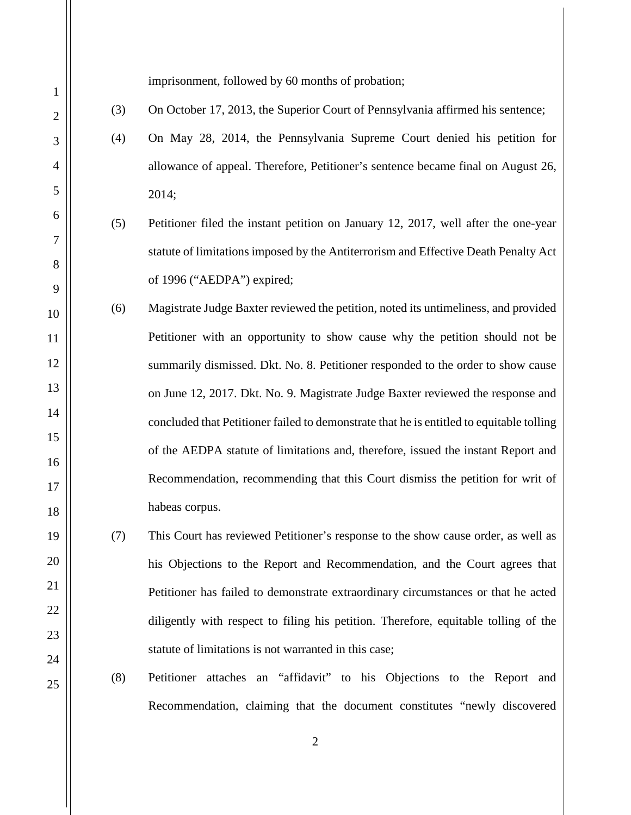imprisonment, followed by 60 months of probation;

- (3) On October 17, 2013, the Superior Court of Pennsylvania affirmed his sentence;
- (4) On May 28, 2014, the Pennsylvania Supreme Court denied his petition for allowance of appeal. Therefore, Petitioner's sentence became final on August 26, 2014;
- (5) Petitioner filed the instant petition on January 12, 2017, well after the one-year statute of limitations imposed by the Antiterrorism and Effective Death Penalty Act of 1996 ("AEDPA") expired;
- (6) Magistrate Judge Baxter reviewed the petition, noted its untimeliness, and provided Petitioner with an opportunity to show cause why the petition should not be summarily dismissed. Dkt. No. 8. Petitioner responded to the order to show cause on June 12, 2017. Dkt. No. 9. Magistrate Judge Baxter reviewed the response and concluded that Petitioner failed to demonstrate that he is entitled to equitable tolling of the AEDPA statute of limitations and, therefore, issued the instant Report and Recommendation, recommending that this Court dismiss the petition for writ of habeas corpus.
	- (7) This Court has reviewed Petitioner's response to the show cause order, as well as his Objections to the Report and Recommendation, and the Court agrees that Petitioner has failed to demonstrate extraordinary circumstances or that he acted diligently with respect to filing his petition. Therefore, equitable tolling of the statute of limitations is not warranted in this case;
		- (8) Petitioner attaches an "affidavit" to his Objections to the Report and Recommendation, claiming that the document constitutes "newly discovered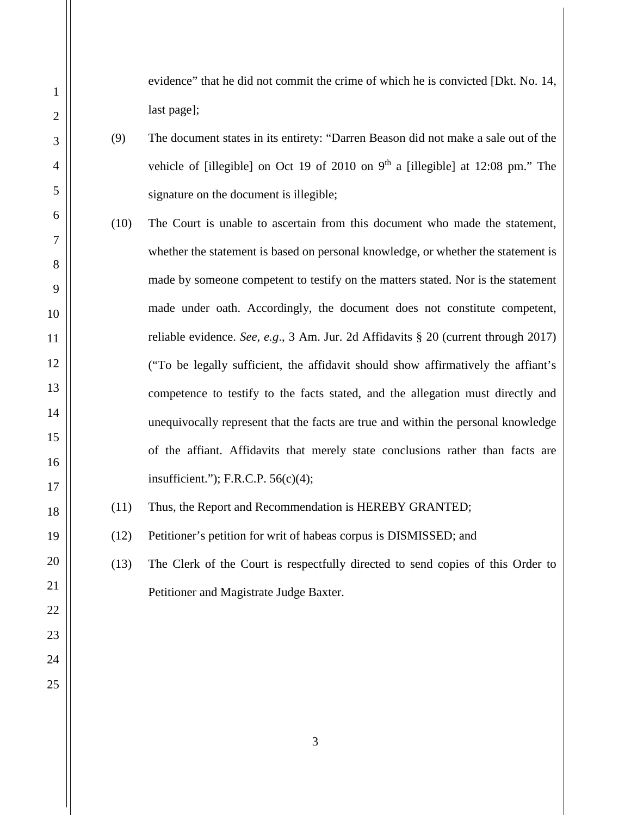evidence" that he did not commit the crime of which he is convicted [Dkt. No. 14, last page];

- (9) The document states in its entirety: "Darren Beason did not make a sale out of the vehicle of [illegible] on Oct 19 of 2010 on  $9<sup>th</sup>$  a [illegible] at 12:08 pm." The signature on the document is illegible;
- (10) The Court is unable to ascertain from this document who made the statement, whether the statement is based on personal knowledge, or whether the statement is made by someone competent to testify on the matters stated. Nor is the statement made under oath. Accordingly, the document does not constitute competent, reliable evidence. *See*, *e.g*., 3 Am. Jur. 2d Affidavits § 20 (current through 2017) ("To be legally sufficient, the affidavit should show affirmatively the affiant's competence to testify to the facts stated, and the allegation must directly and unequivocally represent that the facts are true and within the personal knowledge of the affiant. Affidavits that merely state conclusions rather than facts are insufficient."); F.R.C.P.  $56(c)(4)$ ;
- (11) Thus, the Report and Recommendation is HEREBY GRANTED;

(12) Petitioner's petition for writ of habeas corpus is DISMISSED; and

(13) The Clerk of the Court is respectfully directed to send copies of this Order to Petitioner and Magistrate Judge Baxter.